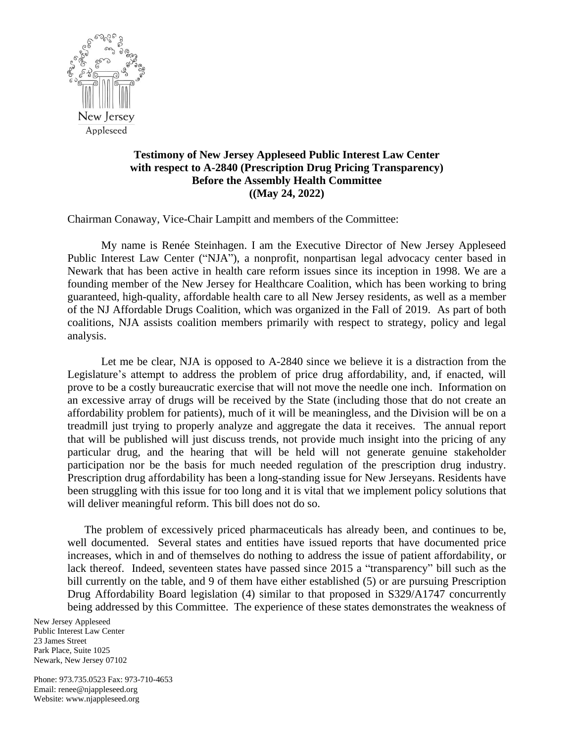

## **Testimony of New Jersey Appleseed Public Interest Law Center with respect to A-2840 (Prescription Drug Pricing Transparency) Before the Assembly Health Committee ((May 24, 2022)**

Chairman Conaway, Vice-Chair Lampitt and members of the Committee:

My name is Renée Steinhagen. I am the Executive Director of New Jersey Appleseed Public Interest Law Center ("NJA"), a nonprofit, nonpartisan legal advocacy center based in Newark that has been active in health care reform issues since its inception in 1998. We are a founding member of the New Jersey for Healthcare Coalition, which has been working to bring guaranteed, high-quality, affordable health care to all New Jersey residents, as well as a member of the NJ Affordable Drugs Coalition, which was organized in the Fall of 2019. As part of both coalitions, NJA assists coalition members primarily with respect to strategy, policy and legal analysis.

Let me be clear, NJA is opposed to A-2840 since we believe it is a distraction from the Legislature's attempt to address the problem of price drug affordability, and, if enacted, will prove to be a costly bureaucratic exercise that will not move the needle one inch. Information on an excessive array of drugs will be received by the State (including those that do not create an affordability problem for patients), much of it will be meaningless, and the Division will be on a treadmill just trying to properly analyze and aggregate the data it receives. The annual report that will be published will just discuss trends, not provide much insight into the pricing of any particular drug, and the hearing that will be held will not generate genuine stakeholder participation nor be the basis for much needed regulation of the prescription drug industry. Prescription drug affordability has been a long-standing issue for New Jerseyans. Residents have been struggling with this issue for too long and it is vital that we implement policy solutions that will deliver meaningful reform. This bill does not do so.

The problem of excessively priced pharmaceuticals has already been, and continues to be, well documented. Several states and entities have issued reports that have documented price increases, which in and of themselves do nothing to address the issue of patient affordability, or lack thereof. Indeed, seventeen states have passed since 2015 a "transparency" bill such as the bill currently on the table, and 9 of them have either established (5) or are pursuing Prescription Drug Affordability Board legislation (4) similar to that proposed in S329/A1747 concurrently being addressed by this Committee. The experience of these states demonstrates the weakness of

New Jersey Appleseed Public Interest Law Center 23 James Street Park Place, Suite 1025 Newark, New Jersey 07102

Phone: 973.735.0523 Fax: 973-710-4653 Email: renee@njappleseed.org Website: www.njappleseed.org